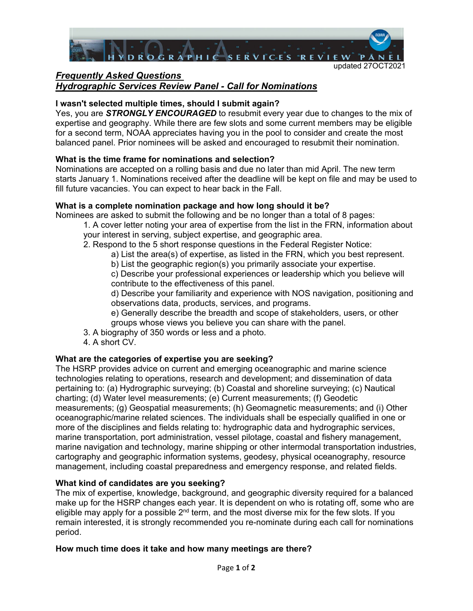

# *Frequently Asked Questions Hydrographic Services Review Panel - Call for Nominations*

# **I wasn't selected multiple times, should I submit again?**

Yes, you are *STRONGLY ENCOURAGED* to resubmit every year due to changes to the mix of expertise and geography. While there are few slots and some current members may be eligible for a second term, NOAA appreciates having you in the pool to consider and create the most balanced panel. Prior nominees will be asked and encouraged to resubmit their nomination.

# **What is the time frame for nominations and selection?**

Nominations are accepted on a rolling basis and due no later than mid April. The new term starts January 1. Nominations received after the deadline will be kept on file and may be used to fill future vacancies. You can expect to hear back in the Fall.

# **What is a complete nomination package and how long should it be?**

Nominees are asked to submit the following and be no longer than a total of 8 pages:

- 1. A cover letter noting your area of expertise from the list in the FRN, information about your interest in serving, subject expertise, and geographic area.
- 2. Respond to the 5 short response questions in the Federal Register Notice:
	- a) List the area(s) of expertise, as listed in the FRN, which you best represent.
	- b) List the geographic region(s) you primarily associate your expertise.

c) Describe your professional experiences or leadership which you believe will contribute to the effectiveness of this panel.

d) Describe your familiarity and experience with NOS navigation, positioning and observations data, products, services, and programs.

e) Generally describe the breadth and scope of stakeholders, users, or other groups whose views you believe you can share with the panel.

- 3. A biography of 350 words or less and a photo.
- 4. A short CV.

# **What are the categories of expertise you are seeking?**

The HSRP provides advice on current and emerging oceanographic and marine science technologies relating to operations, research and development; and dissemination of data pertaining to: (a) Hydrographic surveying; (b) Coastal and shoreline surveying; (c) Nautical charting; (d) Water level measurements; (e) Current measurements; (f) Geodetic measurements; (g) Geospatial measurements; (h) Geomagnetic measurements; and (i) Other oceanographic/marine related sciences. The individuals shall be especially qualified in one or more of the disciplines and fields relating to: hydrographic data and hydrographic services, marine transportation, port administration, vessel pilotage, coastal and fishery management, marine navigation and technology, marine shipping or other intermodal transportation industries, cartography and geographic information systems, geodesy, physical oceanography, resource management, including coastal preparedness and emergency response, and related fields.

## **What kind of candidates are you seeking?**

The mix of expertise, knowledge, background, and geographic diversity required for a balanced make up for the HSRP changes each year. It is dependent on who is rotating off, some who are eligible may apply for a possible  $2<sup>nd</sup>$  term, and the most diverse mix for the few slots. If you remain interested, it is strongly recommended you re-nominate during each call for nominations period.

# **How much time does it take and how many meetings are there?**